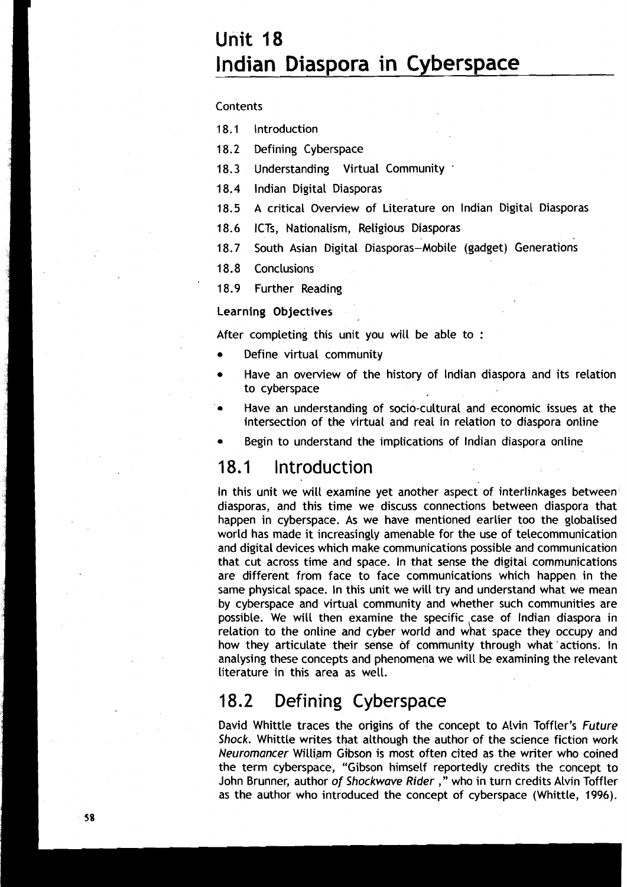# **Unit 18 lndian Diaspora in Cyberspace**

#### Contents

**18.1** lntroduction

**1 8.2** Defining Cyberspace

**18.3** Understanding Virtual Community

**18.4** lndian Digital Diasporas

**18.5** A critical Overview of Literature on lndian Digital Diasporas

18.6 ICTs, Nationalism, Religious Diasporas

18.7 South Asian Digital Diasporas-Mobile (gadget) Generations

18.8 Conclusions

**1** 8.9 Further Reading

#### Learning Objectives

After completing this unit you will be able to :

- Define virtual community
- Have an overview of the history of lndian diaspora and its relation to cyberspace
- Have an understanding of socio-cultural and economic issues at the intersection of the virtual and real in relation to diaspora online

Begin to understand the implications of Indian diaspora online

### **18.1** lntroduction

In this unit we will examine yet another aspect of interlinkages between diasporas, and this time we discuss connections between diaspora that happen in cyberspace. As we have mentioned earlier too the globalised world has made it increasingly amenable for the use of telecommunication and digital devices which make communications possible and communication that cut across time and space. In that sense the digital communications are different from face to face communications which happen in the same physical space. In this unit we will try and understand what we mean by cyberspace and virtual community and whether such communities are possible. We will then examine the specific case of Indian diaspora in relation to the online and cyber world and what space they occupy and how they articulate their sense of community through what 'actions. In analysing these concepts and phenomena we will be examining the relevant literature in this area as well.

### **18.2** Defining Cyberspace

David Whittle traces the origins of the concept to Alvin Toffler's **Future Shock.** Whittle writes that although the author of the science fiction work Neuromancer William Gibson is most often cited as the writer who coined the term cyberspace, "Gibson himself reportedly credits the concept to John Brunner, author **of Shockwave Rider** ," who in turn credits Alvin Toffler as the author who introduced the concept of cyberspace (Whittle, 1996).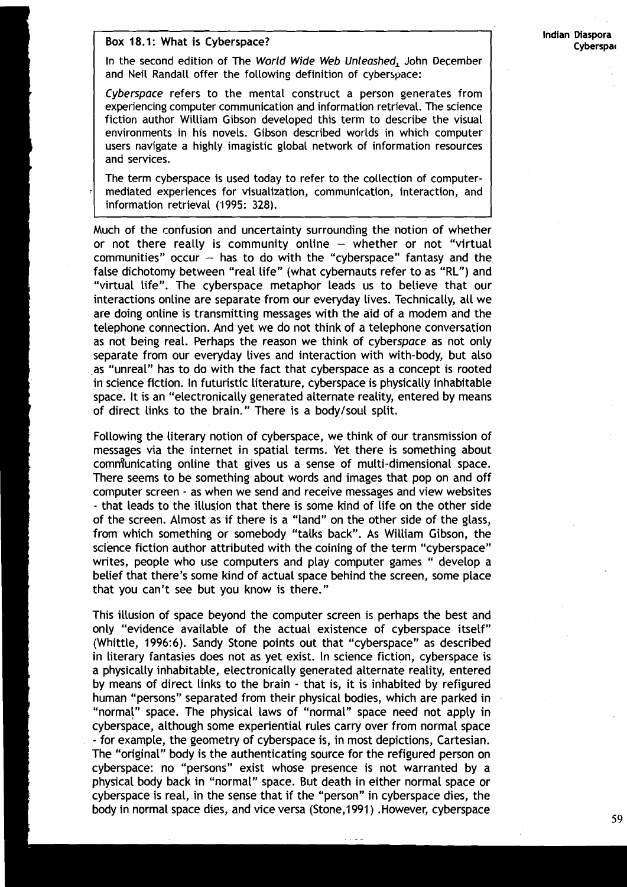#### **Box 18.1: What is Cyberspace? Cycle 2014 Cyberspace Cyperspace Cyberspace Cyberspace Cyberspace Cyberspace Cyberspace Cyberspace Cyberspace Cyberspace Cyberspace Cyberspace Cyberspace Cybersp**

In the second edition of The World Wide Web Unleashed, John December and Neil Randall offer the following definition of cyberspace:

Cyberspace refers to the mental construct a person generates from experiencing computer communication and information retrieval. The science fiction author William Gibson developed this term to describe the visual environments in his novels. Gibson described worlds in which computer users navigate a highly imagistic global network of information resources and services.

The term cyberspace is used today to refer to the collection of computermediated experiences for visualization, communication, interaction, and information retrieval (1995: 328).

Much of the confusion and uncertainty surrounding the notion of whether or not there really is community online  $-$  whether or not "virtual communities" occur  $-$  has to do with the "cyberspace" fantasy and the false dichotomy between "real life" (what cybernauts refer to as "RL") and "virtual life". The cyberspace metaphor leads us to believe that our interactions online are separate from our everyday lives. Technically, all we are doing online is transmitting messages with the aid of a modem and the telephone cornection. And yet we do not think of a telephone conversation as not being real. Perhaps the reason we think of cyberspace as not only separate from our everyday lives and interaction with with-body, but also as "unreal" has to do with the fact that cyberspace as a concept is rooted in science fiction. In futuristic literature, cyberspace is physically inhabitable space. It is an "electronically generated alternate reality, entered by means of direct links to the brain." There is a bodylsoul split.

Following the literary notion of cyberspace, we think of our transmission of messages via the internet in spatial terms. Yet there is something about comnfunicating online that gives us a sense of multi-dimensional space. There seems to be something about words and images that pop on and off computer screen - as when we send and receive messages and view websites - that leads to the illusion that there is some kind of life on the other side of the screen. Almost as if there is a "land" on the other side of the glass, from which something or somebody "talks back". As William Gibson, the science fiction author attributed with the coining of the term "cyberspace" writes, people who use computers and play computer games " develop a belief that there's some kind of actual space behind the screen, some place that you can't see but you know is there."

This illusion of space beyond the computer screen is perhaps the best and only "evidence available of the actual existence of cyberspace itself" (Whittle, 1996:6). Sandy Stone points out that "cyberspace" as described in literary fantasies does not as yet exist. In science fiction, cyberspace is a physically inhabitable, electronically generated alternate reality, entered by means of direct links to the brain - that is, it is inhabited by refigured human "persons" separated from their physical bodies, which are parked in "normal" space. The physical laws of "normal" space need not apply in cyberspace, although some experiential rules carry over from normal space - for example, the geometry of cyberspace is, in most depictions, Cartesian. The "original" body is the authenticating source for the refigured person on cyberspace: no "persons" exist whose presence is not warranted by a physical body back in "normal" space. But death in either normal space or cyberspace is real, in the sense that if the "person" in cyberspace dies, the body in normal space dies, and vice versa (Stone,1991) .However, cyberspace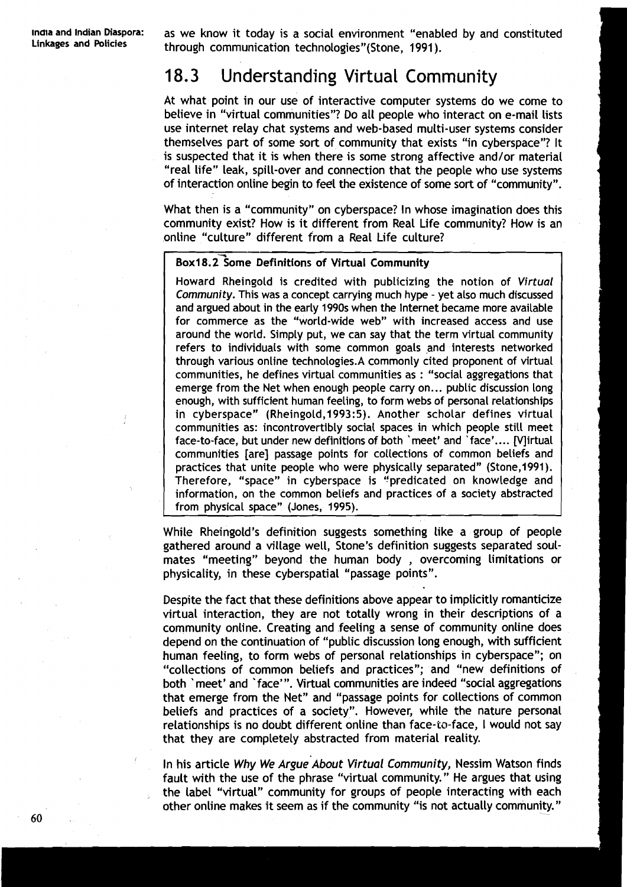**lndla and Indian Diaspora:** as we know it today is a social environment "enabled by and constituted **Linkages and Policies** through communication technologies"(Stone, 1991 ).

# 18.3 Understanding Virtual Community

At what point in our use of interactive computer systems do we come to believe in "virtual communities"? Do all people who interact on e-mail lists use internet relay chat systems and web-based multi-user systems consider themselves part of some sort of community that exists "in cyberspace"? It is suspected that it is when there is some strong affective and/or material "real life" leak, spill-over and connection that the people who use systems of interaction online begin to feel the existence of some sort of "community".

What then is a "community" on cyberspace? In whose imagination does this community exist? How is it different from Real Life community? How is an online "culture" different from a Real Life culture?

#### Box18.2<sup>-</sup>Some Definitions of Virtual Community

Howard Rheingold is credited with publicizing the notion of Virtual Community. This was a concept carrying much hype - yet also much discussed and argued about in the early 1990s when the Internet became more available for commerce as the "world-wide web" with increased access and use around the world. Simply put, we can say that the term virtual community refers to individuals with some common goals and interests networked through various online technologies.A commonly cited proponent of virtual communities, he defines virtual communities as : "social aggregations that emerge from the Net when enough people carry on... public discussion long enough, with sufficient human feeling, to form webs of personal relationships in cyberspace" (Rheingold,1993:5). Another scholar defines virtual communities as: incontrovertibly social spaces in which people still meet face-to-face, but under new definitions of both `meet' and `face'.... [V]irtual communities [are] passage points for collections of common beliefs and practices that unite people who were physically separated" (Stone,1991). Therefore, "space" in cyberspace is "predicated on knowledge and information, on the common beliefs and practices of a society abstracted from physical space" (Jones, 1995).

While Rheingold 's definition suggests something like a group of people gathered around a village well, Stone's definition suggests separated soulmates "meeting" beyond the human body , overcoming limitations or physicality, in these cyberspatial "passage points".

Despite the fact that these definitions above appear to implicitly romanticize virtual interaction, they are not totally wrong in their descriptions of a community online. Creating and feeling a sense of community online does depend on the continuation of "public discussion long enough, with sufficient human feeling, to form webs of personal relationships in cyberspace"; on "collections of common beliefs and practices"; and "new definitions of both 'meet' and 'face'". Virtual communities are indeed "social aggregations that emerge from the Net" and "passage points for collections of common beliefs and practices of a society". However, while the nature personal relationships is no doubt different online than face-to-face, I would not say that they are completely abstracted from material reality.

In his article Why We Argue About Virtual Community, Nessim Watson finds fault with the use of the phrase "virtual community." He argues that using the Label "virtual" community for groups of people interacting with each other online makes it seem as if the community "is not actually community."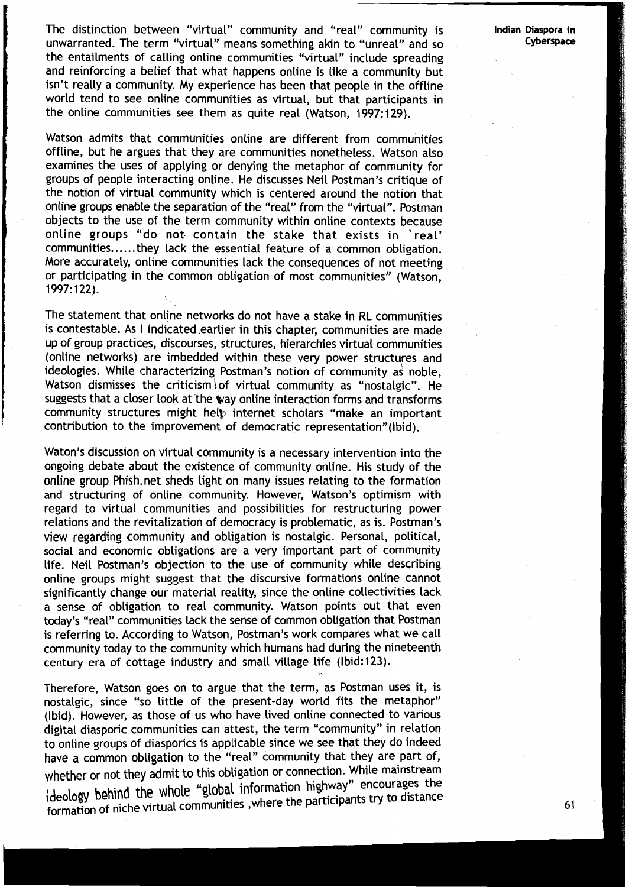The distinction between "virtual" community and "real" community is **Indian Diaspora in**  unwarranted. The term "virtual" means something akin to "unreal" and so the entailments of calling online communities "virtual" include spreading and reinforcing a belief that what happens online is like a community but isn't really a community. My experience has been that people in the offline world tend to see online communities as virtual, but that participants in the online communities see them as quite real (Watson, 1997:129).

Watson admits that communities online are different from communities offline, but he argues that they are communities nonetheless. Watson also examines the uses of applying or denying the metaphor of community for groups of people interacting online. He discusses Neil Postman's critique of the notion of virtual community which is centered around the notion that online groups enable the separation of the "real" from the "virtual". Postman objects to the use of the term community within online contexts because online groups "do not contain the stake that exists in 'real' communities......they lack the essential feature of a common obligation. **I** More accurately, online communities lack the consequences of not meeting or participating in the common obligation of most communities" (Watson, 1997: 122).

The statement that online networks do not have a stake in RL communities is contestable. As I indicated earlier in this chapter, communities are made up of group practices, discourses, structures, hierarchies virtual communities (online networks) are imbedded within these very power structures and ideologies. While characterizing Postman's notion of community as noble, Watson dismisses the criticism of virtual community as "nostalgic". He suggests that a closer look at the way online interaction forms and transforms community structures might help internet scholars "make an important contribution to the improvement of democratic representation"(Ibid).

Waton's discussion on virtual community is a necessary intervention into the ongoing debate about the existence of community online. His study of the online group Phish.net sheds light on many issues relating to the formation and structuring of online community. However, Watson's optimism with regard to virtual communities and possibilities for restructuring power relations and the revitalization of democracy is problematic, as is. Postman's view regarding community and obligation is nostalgic. Personal, political, social and economic obligations are a very important part of community life. Neil Postman's objection to the use of community while describing online groups might suggest that the discursive formations online cannot significantly change our material reality, since the online collectivities lack a sense of obligation to real community. Watson points out that even today's "real" communities lack the sense of common obligation that Postman is referring to. According to Watson, Postman's work compares what we call community today to the community which humans had during the nineteenth century era of cottage industry and small village life (lbid:123).

Therefore, Watson goes on to argue that the term, as Postman uses it, is nostalgic, since "so little of the present-day world fits the metaphor" (Ibid). However, as those of us who have lived online connected to various digital diasporic communities can attest, the term "community" in relation to online groups of diasporics is applicable since we see that they do indeed have a common obligation to the "real" community that they are part of, whether or not they admit to this obligation or connection. While mainstream ideology behind the whole "global information highway" encourages the formation of niche virtual communities, where the participants try to distance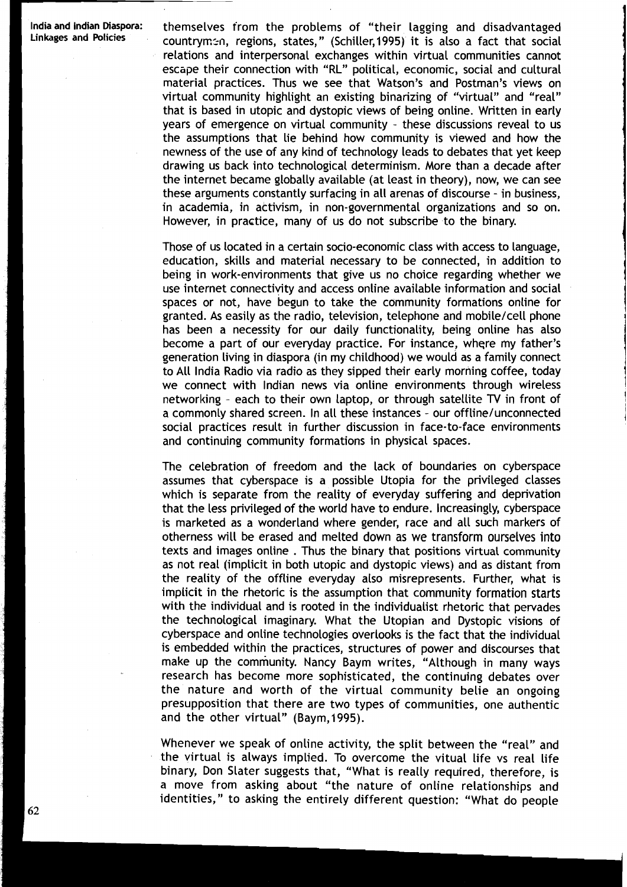India and Indian Diaspora: themselves from the problems of "their lagging and disadvantaged<br>Linkages and Policies countrymen, regions, states," (Schiller,1995) it is also a fact that social relations and interpersonal exchanges within virtual communities cannot escape their connection with "RL" political, economic, social and cultural material practices. Thus we see that Watson's and Postman's views on virtual community highlight an existing binarizing of "virtual" and "real" that is based in utopic and dystopic views of being online. Written in early years of emergence on virtual community - these discussions reveal to us the assumptions that lie behind how community is viewed and how the newness of the use of any kind of technology leads to debates that yet keep drawing us back into technological determinism. More than a decade after the internet became globally available (at least in theory), now, we can see these arguments constantly surfacing in all arenas of discourse - in business, in academia, in activism, in non-governmental organizations and so on. However, in practice, many of us do not subscribe to the binary.

> Those of us located in a certain socio-economic class with access to language, education, skills and material necessary to be connected, in addition to being in work-environments that give us no choice regarding whether we use internet connectivity and access online available information and social spaces or not, have begun to take the community formations online for granted. As easily as the radio, television, telephone and mobile/cell phone has been a necessity for our daily functionality, being online has also become a part of our everyday practice. For instance, where my father's generation living in diaspora (in my childhood) we would as a family connect to All India Radio via radio as they sipped their early morning coffee, today we connect with Indian news via online environments through wireless networking - each to their own laptop, or through satellite TV in front of a commonly shared screen. In all these instances - our offline/unconnected social practices result in further discussion in face-to-face environments and continuing community formations in physical spaces.

> The celebration of freedom and the lack of boundaries on cyberspace assumes that cyberspace is a possible Utopia for the privileged classes which is separate from the reality of everyday suffering and deprivation that the less privileged of the world have to endure. Increasingly, cyberspace is marketed as a wonderland where gender, race and all such markers of otherness will be erased and melted down as we transform ourselves into texts and images online . Thus the binary that positions virtual community as not real (implicit in both utopic and dystopic views) and as distant from the reality of the offline everyday also misrepresents. Further, what is implicit in the rhetoric is the assumption that community formation starts with the individual and is rooted in the individualist rhetoric that pervades the technological imaginary. What the Utopian and Dystopic visions of cyberspace and online technologies overlooks is the fact that the individual is embedded within the practices, structures of power and discourses that make up the community. Nancy Baym writes, "Although in many ways research has become more sophisticated, the continuing debates over the nature and worth of the virtual community belie an ongoing presupposition that there are two types of communities, one authentic and the other virtual" (Baym,1995).

> Whenever we speak of online activity, the split between the "real" and the virtual is always implied. To overcome the vitual life vs real life binary, Don Slater suggests that, "What is really required, therefore, is a move from asking about "the nature of online relationships and identities," to asking the entirely different question: "What do people

62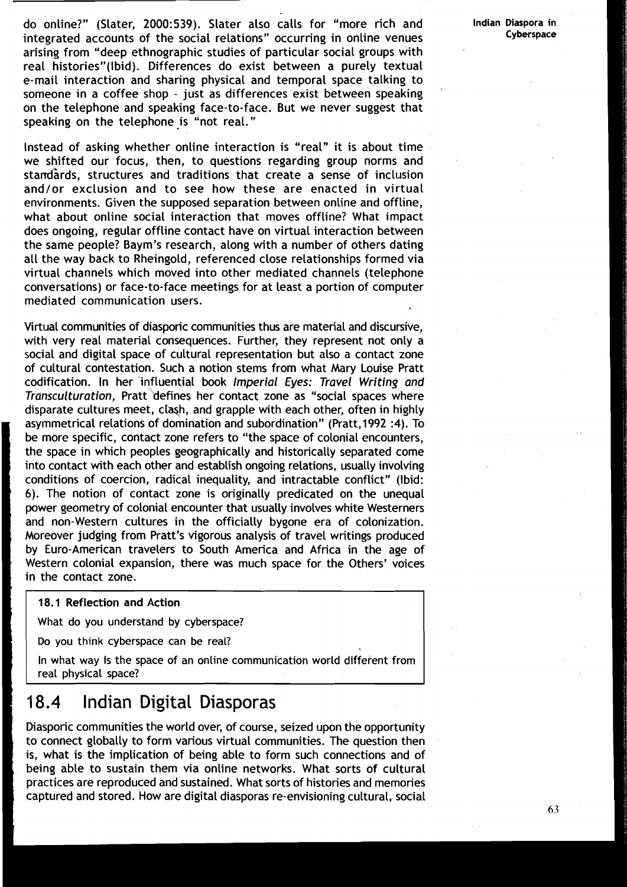do online?" (Slater, 2000:539). Slater also calls for "more rich and **Indian Diaspora** in integrated accounts of the social relations" occurring in online venues arising from "deep ethnographic studies of particular social groups with real histories"(Ibid). Differences do exist between a purely textual e-mail interaction and sharing physical and temporal space talking to someone in a coffee shop - just as differences exist between speaking on the telephone and speaking face-to-face. But we never suggest that speaking on the telephone is "not real."

Instead of asking whether online interaction is "real" it is about time we shifted our focus, then, to questions regarding group norms and standards, structures and traditions that create a sense of inclusion and/or exclusion and to see how these are enacted in virtual environments. Given the supposed separation between online and offline, what about online social interaction that moves offline? What impact does ongoing, regular offline contact have on virtual interaction between the same people? Baym's research, along with a number of others dating all the way back to Rheingold, referenced close relationships formed via virtual channels which moved into other mediated channels (telephone conversations) or face-to-face meetings for at least a portion of computer mediated communication users.

Virtual communities of diasporic communities thus are material and discursive, with very real material consequences. Further, they represent not only a social and digital space of cultural representation but also a contact zone of cultural contestation. Such a notion stems from what Mary Louise Pratt codification. In her 'influential book Imperial Eyes: Travel Writing and Transculturation, Pratt defines her contact zone as "social spaces where disparate cultures meet, clash, and grapple with each other, often in highly asymmetrical relations of domination and subordination" (Pratt, 1992 **:4).** To be more specific, contact zone refers to "the space of colonial encounters, the space in which peoples geographically and historically separated come into contact with each other and establish ongoing relations, usually involving conditions of coercion, radical inequality, and intractable conflict" (Ibid: 6). The notion of contact zone is originally predicated on the unequal power geometry of colonial encounter that usually involves white Westerners and non-Western cultures in the officially bygone era of colonization. Moreover judging from Pratt's vigorous analysis of travel writings produced by Euro-American travelers to South America and Africa in the age of Western colonial expansion, there was much space for the Others' voices in the contact zone.

#### 18.1 Reflection and Action

What do you understand by cyberspace?

Do you think cyberspace can be real?

In what way is the space of an online communication world different from real physical space?

### 18.4 Indian Digital Diasporas

Diasporic communities the world over, of course, seized upon the opportunity to connect globally to form various virtual communities. The question then is, what is the implication of being able to form such connections and of being able to sustain them via online networks. What sorts of cultural practices are reproduced and sustained. What sorts of histories and memories captured and stored. How are digital diasporas re-envisioning cultural, social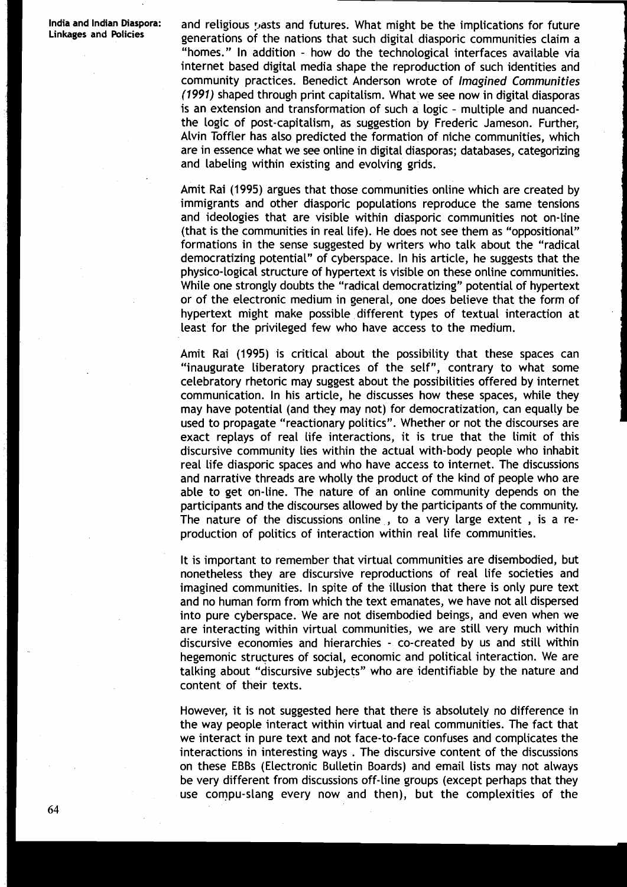**India and Indian Diaspora:** and religious pasts and futures. What might be the implications for future generations of the nations that such digital diasporic communities claim a "homes. " In addition - how do the technological interfaces available via internet based digital media shape the reproduction of such identities and community practices. Benedict Anderson wrote of **Imagined Communities (1991)** shaped through print capitalism. What we see now in digital diasporas is an extension and transformation of such a logic - multiple and nuancedthe logic of post-capitalism, as suggestion by Frederic Jameson. Further, Alvin Toffler has also predicted the formation of niche communities, which are in essence what we see online in digital diasporas; databases, categorizing and labeling within existing and evolving grids.

> Amit Rai (1995) argues that those communities online which are created by immigrants and other diasporic populations reproduce the same tensions and ideologies that are visible within diasporic communities not on-line (that is the communities in real life). He does not see them as "oppositional" formations in the sense suggested by writers who talk about the "radical democratizing potential" of cyberspace. In his article, he suggests that the physico-logical structure of hypertext is visible on these online communities. While one strongly doubts the "radical democratizing" potential of hypertext or of the electronic medium in general, one does believe that the form of hypertext might make possible different types of textual interaction at least for the privileged few who have access to the medium.

> Amit Rai (1995) is critical about the possibility that these spaces can "inaugurate liberatory practices of the self", contrary to what some celebratory rhetoric may suggest about the possibilities offered by internet communication. In his article, he discusses how these spaces, while they may have potential (and they may not) for democratization, can equally be used to propagate "reactionary politics". Whether or not the discourses are exact replays of real life interactions, it is true that the limit of this discursive community lies within the actual with- body people who inhabit real life diasporic spaces and who have access to internet. The discussions and narrative threads are wholly the product of the kind of people who are able to get on-line. The nature of an online community depends on the participants and the discourses allowed by the participants of the community. The nature of the discussions online , to a very large extent , is a reproduction of politics of interaction within real life communities.

It is important to remember that virtual communities are disembodied, but<br>nonetheless they are discursive reproductions of real life societies and<br>imagined communities. In spite of the illusion that there is only pure text nonetheless they are discursive reproductions of real life societies and imagined communities. In spite of the illusion that there is only pure text and no human form from which the text emanates, we have not all dispersed into pure cyberspace. We are not disembodied beings, and even when we are interacting within virtual communities, we are still very much within discursive economies and hierarchies - co-created by us and still within hegemonic structures of social, economic and political interaction. We are talking about "discursive subjects" who are identifiable by the nature and content of their texts.

However, it is not suggested here that there is absolutely no difference in the way people interact within virtual and real communities. The fact that we interact in pure text and not face-to-face confuses and complicates the interactions in interesting ways . The discursive content of the discussions on these EBBS (Electronic Bulletin Boards) and email lists may not always be very different from discussions off-line groups (except perhaps that they use compu-slang every now and then), but the complexities of the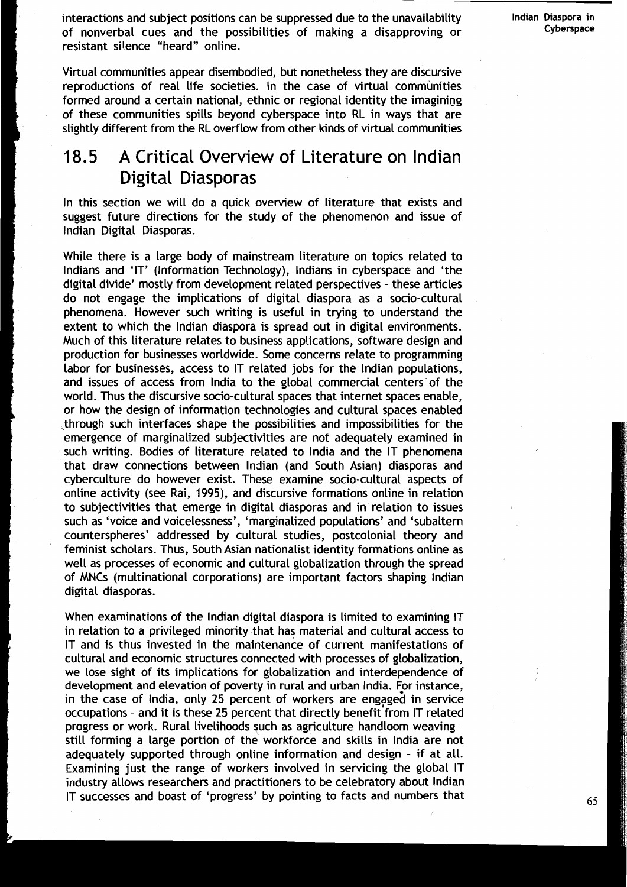interactions and subject positions can be suppressed due to the unavailability **Indian Diaspora in**<br>
of nonverbal suce and the possibilities of making a disapproving or **Suppreme** Cyberspace of nonverbal cues and the possibilities of making a disapproving or **Cyberspace**  resistant silence "heard" online.

**I** Virtual communities appear disembodied, but nonetheless they are discursive reproductions of real life societies. In the case of virtual communities formed around a certain national, ethnic or regional identity the imagining of these communities spills beyond cyberspace into RL in ways that are slightly different from the RL overflow from other kinds of virtual communities

# A Critical Overview of Literature on lndian Digital Diasporas

**I Digital Diasporas**<br>
In this section we will do a quick overview of literature that exists and<br>
suggest future directions for the study of the phenomenon and issue of<br>
Indian Digital Diasporas.<br>
While there is a large bo suggest future directions for the study of the phenomenon and issue of lndian Digital Diasporas.

While there is a large body of mainstream literature on topics related to Indians and 'IT' (Information Technology), Indians in cyberspace and 'the digital divide' mostly from development related perspectives - these articles do not engage the implications of digital diaspora as a socio-cultural phenomena. However such writing is useful in trying to understand the extent to which the lndian diaspora is spread out in digital environments. Much of this literature relates to business applications, software design and production for businesses worldwide. Some concerns relate to programming labor for businesses, access to IT related jobs for the lndian populations, and issues of access from lndia to the global commercial centers of the world. Thus the discursive socio-cultural spaces that internet spaces enable, **<sup>L</sup>**or how the design of information technologies and cultural spaces enabled \_through such interfaces shape the possibilities and impossibilities for the emergence of marginalized subjectivities are not adequately examined in such writing. Bodies of literature related to lndia and the IT phenomena that draw connections between lndian (and South Asian) diasporas and cyberculture do however exist. These examine socio-cultural aspects of online activity (see Rai, 1995), and discursive formations online in relation to subjectivities that emerge in digital diasporas and in relation to issues such as 'voice and voicelessness', 'marginalized populations' and 'subaltern counterspheres' addressed by cultural studies, postcolonial theory and feminist scholars. Thus, South Asian nationalist identity formations online as well as processes of economic and cultural globalization through the spread **<sup>I</sup>**of MNCs (multinational corporations) are important factors shaping Indian digital diasporas.

When examinations of the lndian digital diaspora is limited to examining IT in relation to a privileged minority that has material and cultural access to IT and is thus invested in the maintenance of current manifestations of cultural and economic structures connected with processes of globalization, we Lose sight of its implications for globalization and interdependence of development and elevation of poverty in rural and urban India. For instance, in the case of India, only 25 percent of workers are engaged in service occupations - and it is these 25 percent that directly benefit from IT related progress or work. Rural livelihoods such as agriculture handloom weaving still forming a large portion of the workforce and skills in lndia are not adequately supported through online information and design - if at all. Examining just the range of workers involved in servicing the global IT industry allows researchers and practitioners to be celebratory about lndian IT successes and boast of 'progress' by pointing to facts and numbers that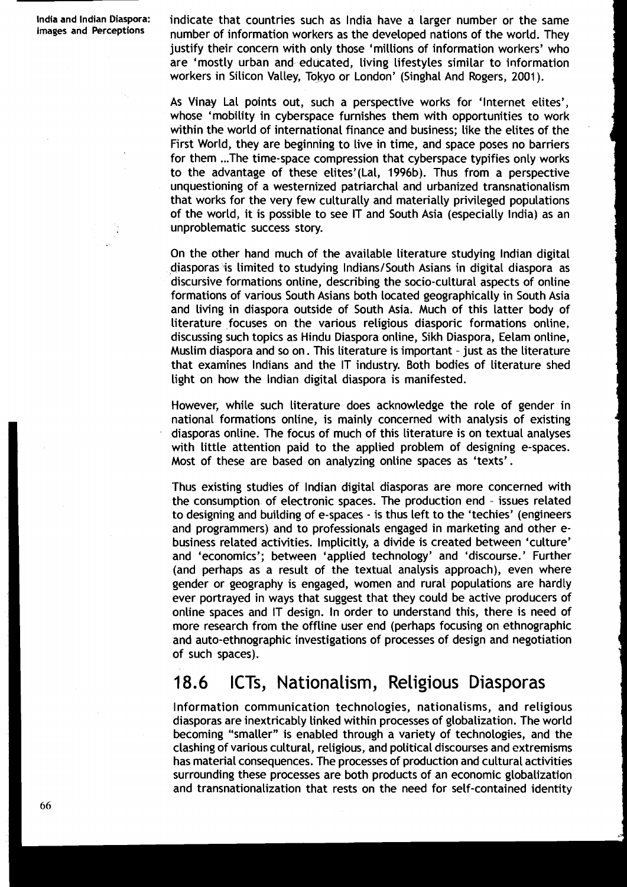**lndia and lndian Diaspora:** indicate that countries such as lndia have a larger number or the same **Images and** number of information workers as the developed nations of the world. They justify their concern with only those 'millions of information workers' who are 'mostly urban and educated, living lifestyles similar to information workers in Silicon Valley, Tokyo or London' (Singhal And Rogers, 2001 ).

> As Vinav Lal points out, such a perspective works for 'Internet elites', whose 'mobility in cyberspace furnishes them with opportunities to work within the world of international finance and business; like the elites of the First World, they are beginning to live in time, and space poses no barriers for them ... The time-space compression that cyberspace typifies only works to the advantage of these elites'(La1, 1996b). Thus from a perspective unquestioning of a westernized patriarchal and urbanized transnationalism that works for the very few culturally and materially privileged populations of the world, it is possible to see IT and South Asia (especially India) as an unproblematic success story.

> On the other hand much of the available literature studying lndian digital diasporas is limited to studying Indians/South Asians in digital diaspora as discursive formations online, describing the socio-cultbral aspects of online formations of various South Asians both located geographically in South Asia and living in diaspora outside of South Asia. Much of this latter body of literature focuses on the various religious diasporic formations online, discussing such topics as Hindu Diaspora online, Sikh Diaspora, Eelam online, Muslim diaspora and so on. This literature is important - just as the literature that examines Indians and the IT industry. Both bodies of literature shed light on how the lndian digital diaspora is manifested.

> However, while such literature does acknowledge the role of gender in national formations online, is mainly concerned with analysis of existing diasporas online. The focus of much of this literature is on textual analyses with little attention paid to the applied problem of designing e-spaces. Most of these are based on analyzing online spaces as 'texts'.

> 'Thus existing studies of lndian digital diasporas are more concerned with the consumption of electronic spaces. The production end - issues related to designing and building of e-spaces - is thus left to the 'techies' (engineers and programmers) and to professionals engaged in marketing and other ebusiness related activities. Implicitly, a divide is created between 'culture' and 'economics'; between 'applied technology' and 'discourse.' Further (and perhaps as a result of the textual analysis approach), even where gender or geography is engaged, women and rural populations are hardly ever portrayed in ways that suggest that they could be active producers of online spaces and IT design. In order to understand this, there is need of more research from the offline user end (perhaps focusing on ethnographic and auto-ethnographic investigations of processes of design and negotiation of such spaces).

## 18.6 ICTs, Nationalism, Religious Diasporas

Information communication technologies, nationalisms, and religious diasporas are inextricably linked within processes of globalization. The world becoming "smaller" is enabled through a variety of technologies, and the clashing of various cultural, religious, and political discourses and extremisms has material consequences. The processes of production and cultural activities surrounding these processes are both products of an economic globalization and transnationalization that rests on the need for self-contained identity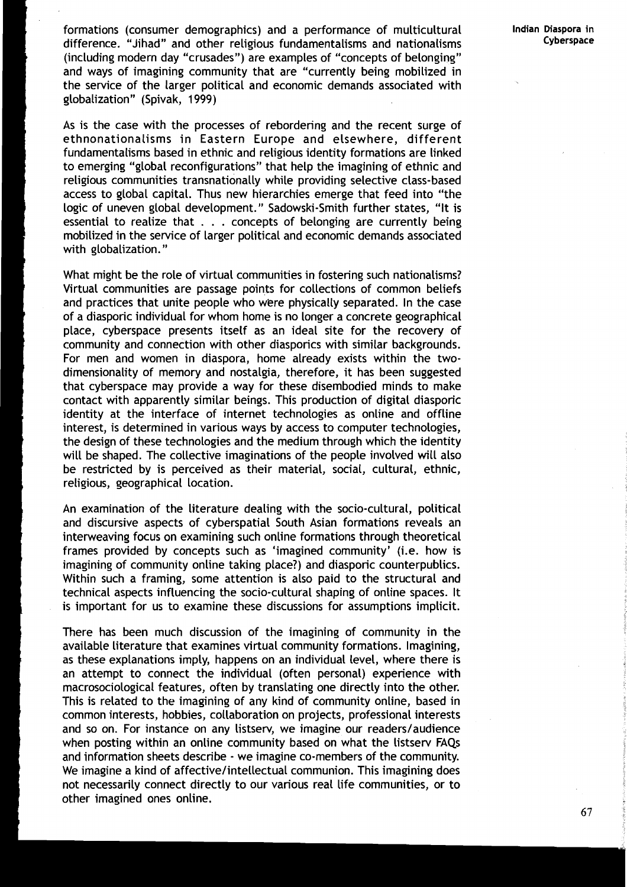formations (consumer demographics) and a performance of multicultural **Indian Diaspora in**  difference. "Jihad" and other religious fundamentalisms and nationalisms **Cyberspace**  (including modern day "crusades") are examples of "concepts of belonging" and ways of imagining community that are "currently being mobilized in the service of the larger political and economic demands associated with globalization" (Spivak, 1999)

As is the case with the processes of rebordering and the recent surge of ethnonationalisms in Eastern Europe and elsewhere, different fundamentalisms based in ethnic and religious identity formations are linked to emerging "global reconfigurations" that help the imagining of ethnic and religious communities transnationally while providing selective class-based access to global capital. Thus new hierarchies emerge that feed into "the logic of uneven global development." Sadowski-Smith further states, "It is essential to realize that . . . concepts of belonging are currently being mobilized in the service of larger political and economic demands associated with globalization. "

What might be the role of virtual communities in fostering such nationalisms? Virtual communities are passage points for collections of common beliefs and practices that unite people who were physically separated. In the case of a diasporic individual for whom home is no longer a concrete geographical place, cyberspace presents itself as an ideal site for the recovery of community and connection with other diasporics with similar backgrounds. For men and women in diaspora, home already exists within the twodimensionality of memory and nostalgia, therefore, it has been suggested that cyberspace may provide a way for these disembodied minds to make contact with apparently similar beings. This production of digital diasporic identity at the interface of internet technologies as online and offline interest, is determined in various ways by access to computer technologies, the design of these technologies and the medium through which the identity will be shaped. The collective imaginations of the people involved will also be restricted by is perceived as their material, social, cultural, ethnic, religious, geographical location.

An examination of the literature dealing with the socio-cultural, political and discursive aspects of cyberspatial South Asian formations reveals an interweaving focus on examining such online formations through theoretical frames provided by concepts such as 'imagined community' (i.e. how is imagining of community online taking place?) and diasporic counterpublics. Within such a framing, some attention is also paid to the structural and technical aspects influencing the socio-cultural shaping of online spaces. It is important for us to examine these discussions for assumptions implicit.

There has been much discussion of the imagining of community in the available literature that examines virtual community formations. Imagining, as these explanations imply, happens on an individual level, where there is an attempt to connect the individual (often personal) experience with macrosociological features, often by translating one directly into the other. This is related to the imagining of any kind of community online, based in common interests, hobbies, collaboration on projects, professional interests and so on. For instance on any listserv, we imagine our readers/audience when posting within an online community based on what the listserv FAQs and information sheets describe - we imagine co-members of the community. We imagine a kind of affective/intellectual communion. This imagining does not necessarily connect directly to our various real life communities, or to other imagined ones online.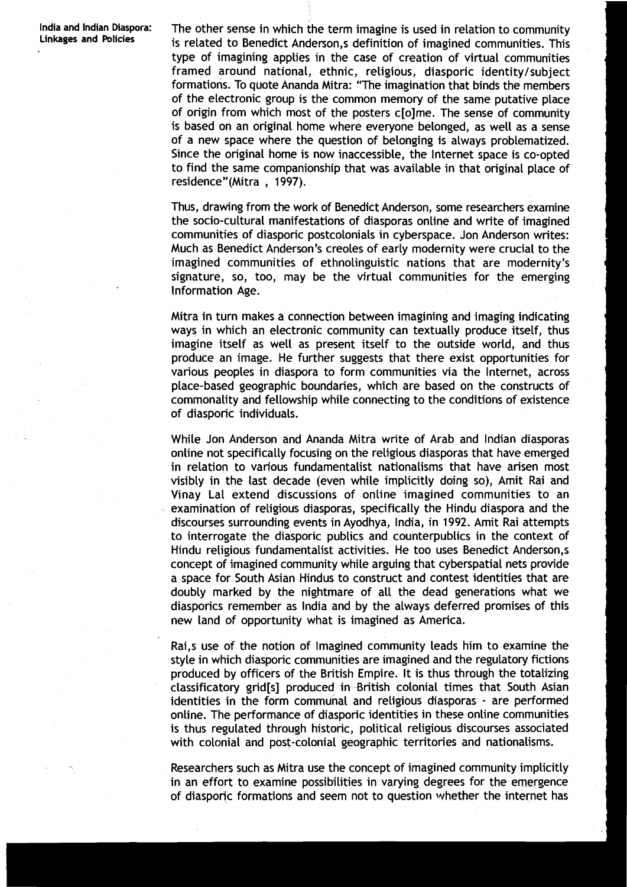**lndia and Indian Diaspora: Linkages and Policies** 

The other sense in which the term imagine is used in relation to community is related to Benedict Anderson, s definition of imagined communities. This type of imagining applies in the case of creation of virtual communities framed around national, ethnic, religious, diasporic identity/subject formations. To quote Ananda Mitra: "The imagination that binds the members of the electronic group is the common memory of the same putative place of origin from which most of the posters c[o]me. The sense of community is based on an original home where everyone belonged, as well as a sense of a new space where the question of belonging is always problematized. Since the original home is now inaccessible, the Internet space is co-opted to find the same companionship that was available in that original place of residence"(Mitra, 1997).

Thus, drawing from the work of Benedict Anderson, some researchers examine the socio-cultural manifestations of diasporas online and write of imagined communities of diasporic postcolonials in cyberspace. Jon Anderson writes: Much as Benedict Anderson's creoles of early modernity were crucial to the imagined communities of ethnolinguistic nations that are modernity's signature, so, too, may be the virtual communities for the emerging Information Age.

Mitra in turn makes a connection between imagining and imaging indicating ways in which an electronic community can textually produce itself, thus imagine itself as well as present itself to the outside world, and thus produce an image. He further suggests that there exist opportunities for various peoples in diaspora to form communities via the Internet, across place-based geographic boundaries, which are based on the constructs of commonality and fellowship while connecting to the conditions of existence of diasporic individuals.

While Jon Anderson and Ananda Mitra write of Arab and Indian diasporas online not specifically focusing on the religious diasporas that have emerged in relation to various fundamentalist nationalisms that have arisen most visibly in the last decade (even while implicitly doing so), Amit Rai and Vinay La1 extend discussions of online imagined communities to an examination of religious diasporas, specifically the Hindu diaspora and the discourses surrounding events in Ayodhya, India, in 1992. Amit Rai attempts to interrogate the diasporic publics and counterpublics in the context of Hindu religious fundamentalist activities. He too uses Benedict Anderson, s concept of imagined community while arguing that cyberspatial nets provide a space for South Asian Hindus to construct and contest identities that are doubly marked by the nightmare of all the dead generations what we diasporics remember as lndia and by the always deferred promises of this new land of opportunity what is imagined as America.

Rai,s use of the notion of Imagined community leads him to examine the style in which diasporic communities are imagined and the regulatory fictions produced by officers of the British Empire. It is thus through the totalizing classificatory grid[s] produced in British colonial times that South Asian identities in the form communal and religious diasporas - are performed online. The performance of diasporic identities in these online communities is thus regulated through historic, political religious discourses associated with colonial and post-colonial geographic territories and nationalisms.

Researchers such as Mitra use the concept of imagined community implicitly in an effort to examine possibilities in varying degrees for the emergence of diasporic formations and seem not to question whether the internet has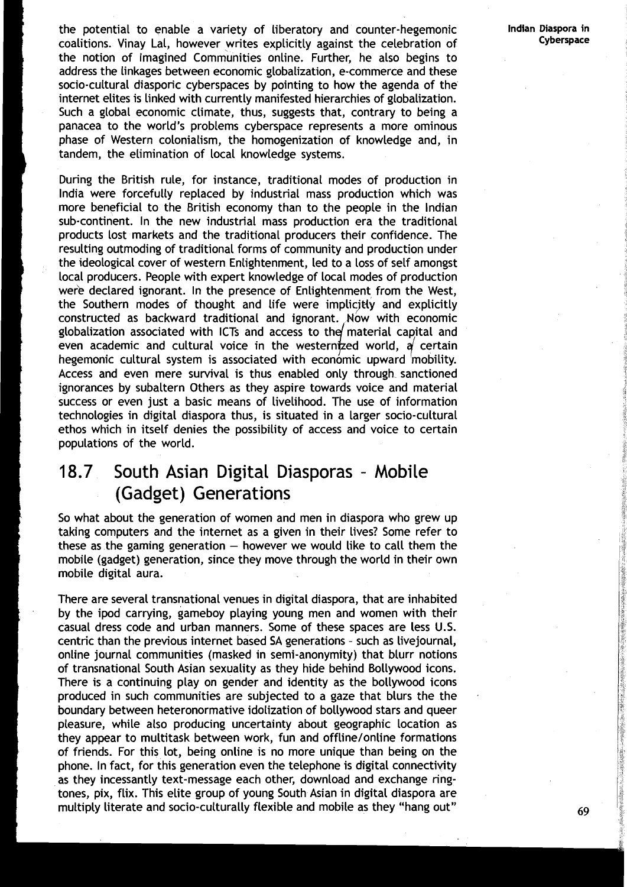the potential to enable a variety of liberatory and counter-hegemonic **Indian Diaspora in**  coalitions. Vinay Lal, however writes explicitly against the celebration of the notion of Imagined Communities online. Further, he also begins to address the linkages between economic globalization, e-commerce and these socio-cultural diasporic cyberspaces by pointing to how the agenda of the internet elites is linked with currently manifested hierarchies of globalization. Such a global economic climate, thus, suggests that, contrary to being a panacea to the world's problems cyberspace represents a more ominous phase of Western colonialism, the homogenization of knowledge and, in tandem, the elimination of local knowledge systems.

During the British rule, for instance, traditional modes of production in India were forcefully replaced by industrial mass production which was more beneficial to the British economy than to the people in the Indian sub-continent. In the new industrial mass production era the traditional products lost markets and the traditional producers their confidence. The resulting outmoding of traditional forms of community and production under the ideological cover of western Enlightenment, led to a loss of self amongst local producers. People with expert knowledge of local modes of production were declared ignorant. In the presence of Enlightenment from the West, the Southern modes of thought and life were implicjdy and explicitly constructed as backward traditional and ignorant. Mow with economic globalization associated with ICTs and access to the material capital and even academic and cultural voice in the westernized world,  $\alpha$  certain hegemonic cultural system is associated with economic upward mobility. Access and even mere survival is thus enabled only through sanctioned ignorances by subaltern Others as they aspire towards voice and material success or even just a basic means of livelihood. The use of information technologies in digital diaspora thus, is situated in a larger socio-cultural ethos which in itself denies the possibility of access and voice to certain populations of the world.

# 18.7 South Asian Digital Diasporas - Mobile (Gadget) Generations

So what about the generation of women and men in diaspora who grew up taking computers and the internet as a given in their lives? Some refer to these as the gaming generation  $-$  however we would like to call them the mobile (gadget) generation, since they move through the world in their own mobile digital aura.

There are several transnational venues in digital diaspora, that are inhabited by the ipod carrying, gameboy playing young men and women with their casual dress code and urban manners. Some of these spaces are less U.S. centric than the previous internet based SA generations - such as livejournal, online journal communities (masked in semi-anonymity) that blurr notions of transnational South Asian sexuality as they hide behind Bollywood icons. There is a continuing play on gender and identity as the bollywood icons produced in such communities are subjected to a gaze that blurs the the boundary between heteronormative idolization of bollywood stars and queer pleasure, while also producing uncertainty about geographic location as they appear to multitask between work, fun and offline/online formations of friends. For this lot, being online is no more unique than being on the phone. In fact, for this generation even the telephone is digital connectivity as they incessantly text-message each other, download and exchange ringtones, pix, flix. This elite group of young South Asian in digital diaspora are multiply literate and socio-culturally flexible and mobile as they "hang out" **69**